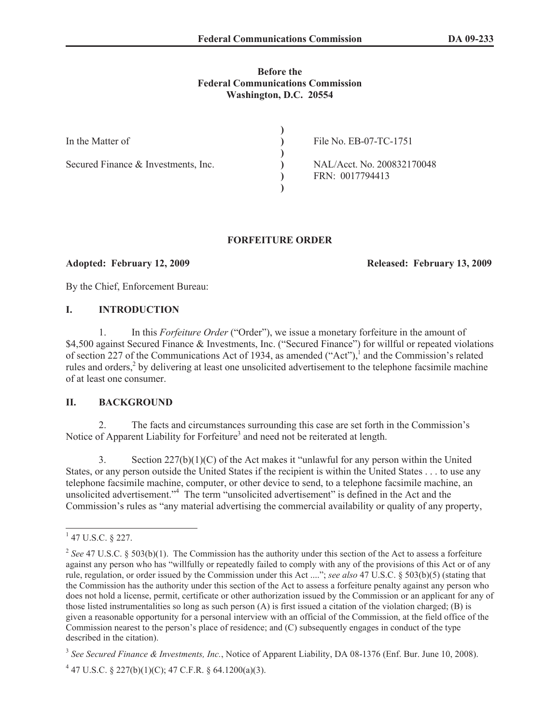### **Before the Federal Communications Commission Washington, D.C. 20554**

| In the Matter of                    | File No. EB-07-TC-1751                        |
|-------------------------------------|-----------------------------------------------|
| Secured Finance & Investments, Inc. | NAL/Acct. No. 200832170048<br>FRN: 0017794413 |

### **FORFEITURE ORDER**

**Adopted: February 12, 2009 Released: February 13, 2009**

By the Chief, Enforcement Bureau:

### **I. INTRODUCTION**

1. In this *Forfeiture Order* ("Order"), we issue a monetary forfeiture in the amount of \$4,500 against Secured Finance & Investments, Inc. ("Secured Finance") for willful or repeated violations of section 227 of the Communications Act of 1934, as amended  $("Act")$ , and the Commission's related rules and orders,<sup>2</sup> by delivering at least one unsolicited advertisement to the telephone facsimile machine of at least one consumer.

## **II. BACKGROUND**

2. The facts and circumstances surrounding this case are set forth in the Commission's Notice of Apparent Liability for Forfeiture<sup>3</sup> and need not be reiterated at length.

3. Section  $227(b)(1)(C)$  of the Act makes it "unlawful for any person within the United States, or any person outside the United States if the recipient is within the United States . . . to use any telephone facsimile machine, computer, or other device to send, to a telephone facsimile machine, an unsolicited advertisement." <sup>4</sup> The term "unsolicited advertisement" is defined in the Act and the Commission's rules as "any material advertising the commercial availability or quality of any property,

 $1$  47 U.S.C. § 227.

<sup>&</sup>lt;sup>2</sup> See 47 U.S.C. § 503(b)(1). The Commission has the authority under this section of the Act to assess a forfeiture against any person who has "willfully or repeatedly failed to comply with any of the provisions of this Act or of any rule, regulation, or order issued by the Commission under this Act ...."; *see also* 47 U.S.C. § 503(b)(5) (stating that the Commission has the authority under this section of the Act to assess a forfeiture penalty against any person who does not hold a license, permit, certificate or other authorization issued by the Commission or an applicant for any of those listed instrumentalities so long as such person (A) is first issued a citation of the violation charged; (B) is given a reasonable opportunity for a personal interview with an official of the Commission, at the field office of the Commission nearest to the person's place of residence; and (C) subsequently engages in conduct of the type described in the citation).

<sup>3</sup> *See Secured Finance & Investments, Inc.*, Notice of Apparent Liability, DA 08-1376 (Enf. Bur. June 10, 2008).

 $4$  47 U.S.C. § 227(b)(1)(C); 47 C.F.R. § 64.1200(a)(3).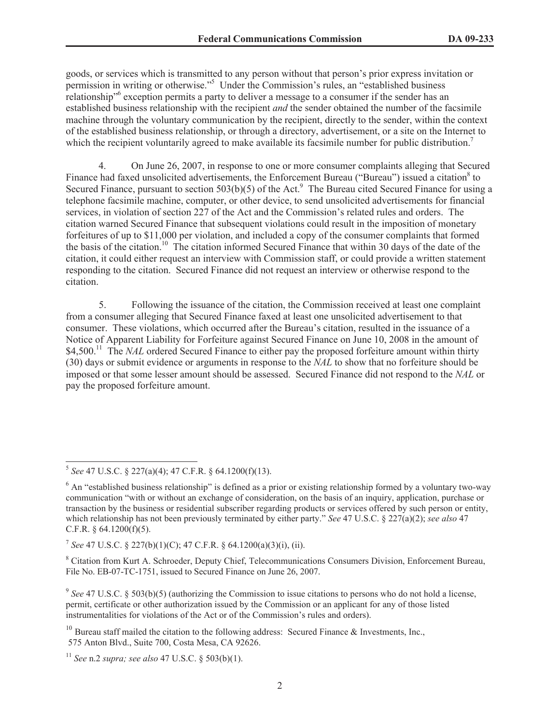goods, or services which is transmitted to any person without that person's prior express invitation or permission in writing or otherwise."<sup>5</sup> Under the Commission's rules, an "established business relationship<sup>16</sup> exception permits a party to deliver a message to a consumer if the sender has an established business relationship with the recipient *and* the sender obtained the number of the facsimile machine through the voluntary communication by the recipient, directly to the sender, within the context of the established business relationship, or through a directory, advertisement, or a site on the Internet to which the recipient voluntarily agreed to make available its facsimile number for public distribution.<sup>7</sup>

4. On June 26, 2007, in response to one or more consumer complaints alleging that Secured Finance had faxed unsolicited advertisements, the Enforcement Bureau ("Bureau") issued a citation<sup>8</sup> to Secured Finance, pursuant to section  $503(b)(5)$  of the Act.<sup>9</sup> The Bureau cited Secured Finance for using a telephone facsimile machine, computer, or other device, to send unsolicited advertisements for financial services, in violation of section 227 of the Act and the Commission's related rules and orders. The citation warned Secured Finance that subsequent violations could result in the imposition of monetary forfeitures of up to \$11,000 per violation, and included a copy of the consumer complaints that formed the basis of the citation.<sup>10</sup> The citation informed Secured Finance that within 30 days of the date of the citation, it could either request an interview with Commission staff, or could provide a written statement responding to the citation. Secured Finance did not request an interview or otherwise respond to the citation.

5. Following the issuance of the citation, the Commission received at least one complaint from a consumer alleging that Secured Finance faxed at least one unsolicited advertisement to that consumer. These violations, which occurred after the Bureau's citation, resulted in the issuance of a Notice of Apparent Liability for Forfeiture against Secured Finance on June 10, 2008 in the amount of \$4,500.<sup>11</sup> The *NAL* ordered Secured Finance to either pay the proposed forfeiture amount within thirty (30) days or submit evidence or arguments in response to the *NAL* to show that no forfeiture should be imposed or that some lesser amount should be assessed. Secured Finance did not respond to the *NAL* or pay the proposed forfeiture amount.

<sup>5</sup> *See* 47 U.S.C. § 227(a)(4); 47 C.F.R. § 64.1200(f)(13).

 $6$  An "established business relationship" is defined as a prior or existing relationship formed by a voluntary two-way communication "with or without an exchange of consideration, on the basis of an inquiry, application, purchase or transaction by the business or residential subscriber regarding products or services offered by such person or entity, which relationship has not been previously terminated by either party." *See* 47 U.S.C. § 227(a)(2); *see also* 47 C.F.R. § 64.1200(f)(5).

<sup>7</sup> *See* 47 U.S.C. § 227(b)(1)(C); 47 C.F.R. § 64.1200(a)(3)(i), (ii).

<sup>8</sup> Citation from Kurt A. Schroeder, Deputy Chief, Telecommunications Consumers Division, Enforcement Bureau, File No. EB-07-TC-1751, issued to Secured Finance on June 26, 2007.

<sup>&</sup>lt;sup>9</sup> See 47 U.S.C. § 503(b)(5) (authorizing the Commission to issue citations to persons who do not hold a license, permit, certificate or other authorization issued by the Commission or an applicant for any of those listed instrumentalities for violations of the Act or of the Commission's rules and orders).

<sup>&</sup>lt;sup>10</sup> Bureau staff mailed the citation to the following address: Secured Finance & Investments, Inc., 575 Anton Blvd., Suite 700, Costa Mesa, CA 92626.

<sup>11</sup> *See* n.2 *supra; see also* 47 U.S.C. § 503(b)(1).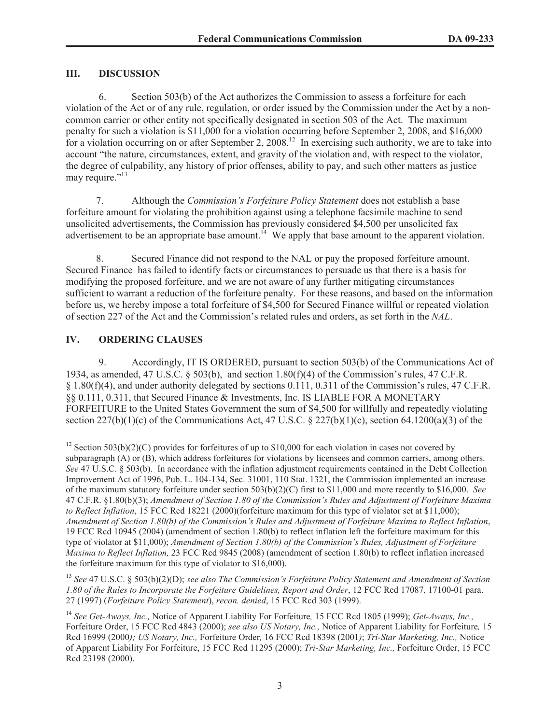## **III. DISCUSSION**

6. Section 503(b) of the Act authorizes the Commission to assess a forfeiture for each violation of the Act or of any rule, regulation, or order issued by the Commission under the Act by a noncommon carrier or other entity not specifically designated in section 503 of the Act. The maximum penalty for such a violation is \$11,000 for a violation occurring before September 2, 2008, and \$16,000 for a violation occurring on or after September 2, 2008.<sup>12</sup> In exercising such authority, we are to take into account "the nature, circumstances, extent, and gravity of the violation and, with respect to the violator, the degree of culpability, any history of prior offenses, ability to pay, and such other matters as justice may require."<sup>13</sup>

7. Although the *Commission's Forfeiture Policy Statement* does not establish a base forfeiture amount for violating the prohibition against using a telephone facsimile machine to send unsolicited advertisements, the Commission has previously considered \$4,500 per unsolicited fax advertisement to be an appropriate base amount.<sup>14</sup> We apply that base amount to the apparent violation.

8. Secured Finance did not respond to the NAL or pay the proposed forfeiture amount. Secured Finance has failed to identify facts or circumstances to persuade us that there is a basis for modifying the proposed forfeiture, and we are not aware of any further mitigating circumstances sufficient to warrant a reduction of the forfeiture penalty. For these reasons, and based on the information before us, we hereby impose a total forfeiture of \$4,500 for Secured Finance willful or repeated violation of section 227 of the Act and the Commission's related rules and orders, as set forth in the *NAL*.

# **IV. ORDERING CLAUSES**

9. Accordingly, IT IS ORDERED, pursuant to section 503(b) of the Communications Act of 1934, as amended, 47 U.S.C. § 503(b), and section 1.80(f)(4) of the Commission's rules, 47 C.F.R. § 1.80(f)(4), and under authority delegated by sections 0.111, 0.311 of the Commission's rules, 47 C.F.R. §§ 0.111, 0.311, that Secured Finance & Investments, Inc. IS LIABLE FOR A MONETARY FORFEITURE to the United States Government the sum of \$4,500 for willfully and repeatedly violating section  $227(b)(1)(c)$  of the Communications Act, 47 U.S.C. § 227(b)(1)(c), section 64.1200(a)(3) of the

<sup>&</sup>lt;sup>12</sup> Section 503(b)(2)(C) provides for forfeitures of up to \$10,000 for each violation in cases not covered by subparagraph (A) or (B), which address forfeitures for violations by licensees and common carriers, among others. *See* 47 U.S.C. § 503(b). In accordance with the inflation adjustment requirements contained in the Debt Collection Improvement Act of 1996, Pub. L. 104-134, Sec. 31001, 110 Stat. 1321, the Commission implemented an increase of the maximum statutory forfeiture under section 503(b)(2)(C) first to \$11,000 and more recently to \$16,000. *See* 47 C.F.R. §1.80(b)(3); *Amendment of Section 1.80 of the Commission's Rules and Adjustment of Forfeiture Maxima to Reflect Inflation*, 15 FCC Rcd 18221 (2000)(forfeiture maximum for this type of violator set at \$11,000); *Amendment of Section 1.80(b) of the Commission's Rules and Adjustment of Forfeiture Maxima to Reflect Inflation*, 19 FCC Rcd 10945 (2004) (amendment of section 1.80(b) to reflect inflation left the forfeiture maximum for this type of violator at \$11,000); *Amendment of Section 1.80(b) of the Commission's Rules, Adjustment of Forfeiture Maxima to Reflect Inflation,* 23 FCC Rcd 9845 (2008) (amendment of section 1.80(b) to reflect inflation increased the forfeiture maximum for this type of violator to \$16,000).

<sup>13</sup> *See* 47 U.S.C. § 503(b)(2)(D); *see also The Commission's Forfeiture Policy Statement and Amendment of Section 1.80 of the Rules to Incorporate the Forfeiture Guidelines, Report and Order*, 12 FCC Rcd 17087, 17100-01 para. 27 (1997) (*Forfeiture Policy Statement*), *recon. denied*, 15 FCC Rcd 303 (1999).

<sup>14</sup> *See Get-Aways, Inc.,* Notice of Apparent Liability For Forfeiture*,* 15 FCC Rcd 1805 (1999); *Get-Aways, Inc.,*  Forfeiture Order, 15 FCC Rcd 4843 (2000); *see also US Notary, Inc.,* Notice of Apparent Liability for Forfeiture*,* 15 Rcd 16999 (2000*); US Notary, Inc.,* Forfeiture Order*,* 16 FCC Rcd 18398 (2001*)*; *Tri-Star Marketing, Inc.,* Notice of Apparent Liability For Forfeiture, 15 FCC Rcd 11295 (2000); *Tri-Star Marketing, Inc.,* Forfeiture Order, 15 FCC Rcd 23198 (2000).